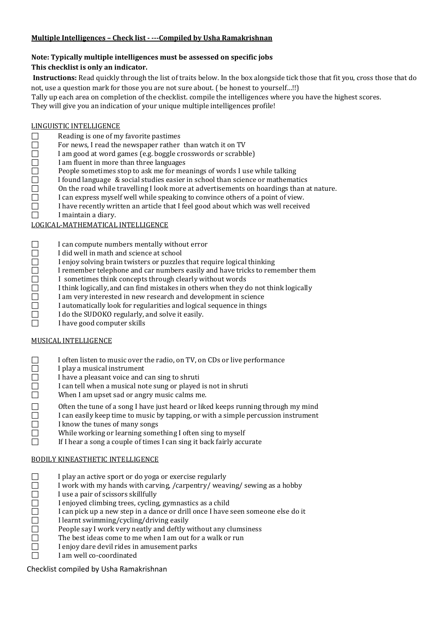# **Multiple Intelligences – Check list - ---Compiled by Usha Ramakrishnan**

#### **Note: Typically multiple intelligences must be assessed on specific jobs This checklist is only an indicator.**

**Instructions:** Read quickly through the list of traits below. In the box alongside tick those that fit you, cross those that do not, use a question mark for those you are not sure about. ( be honest to yourself…!!)

Tally up each area on completion of the checklist. compile the intelligences where you have the highest scores.

They will give you an indication of your unique multiple intelligences profile!

# $LINGUISTIC INTELLIGENCE$ <br>
Reading is one of my

- 
- For news, I read the newspaper rather than watch it on TV
- I am good at word games (e.g. boggle crosswords or scrabble)
- I am fluent in more than three languages
- <table>\n<tbody>\n<tr>\n<th>Reading is one of my favorite pastimes</th>\n</tr>\n<tr>\n<td>■</td>\n<td>For news, I read the newspaper rather</td>\n</tr>\n<tr>\n<td>□</td>\n<td>I am good at word games (e.g. boggle c</td>\n</tr>\n<tr>\n<td>□</td>\n<td>I am fluent in more than three language</td>\n</tr>\n<tr>\n<td>□</td>\n<td>People sometimes stop to ask me for m</td>\n</tr>\n<tr>\n<td>□</td>\n<td>I found language &amp; social studies easier</td>\n</tr>\n<tr>\n<td>□</td>\n<td>I can express myself well while speaking</td>\n</tr>\n<tr>\n<td>□</td>\n<td>I have recently written an article that I</td>\n</tr People sometimes stop to ask me for meanings of words I use while talking
- I found language & social studies easier in school than science or mathematics
- On the road while travelling I look more at advertisements on hoardings than at nature.
- I can express myself well while speaking to convince others of a point of view.
- $\Box$  I have recently written an article that I feel good about which was well received I maintain a diary.
- I maintain a diary.

# LOGICAL-MATHEMATICAL INTELLIGENCE

- 
- I did well in math and science at school
- □ I can compute numbers mentally without error<br>
I did well in math and science at school<br>
□ I enjoy solving brain twisters or puzzles that rec<br>
□ I remember telephone and car numbers easily a<br>
□ I sometimes think concepts I enjoy solving brain twisters or puzzles that require logical thinking
	- I remember telephone and car numbers easily and have tricks to remember them
	- I sometimes think concepts through clearly without words
- $\Box$  I think logically, and can find mistakes in others when they do not think logically I am very interested in new research and development in science
- $\Box$  I am very interested in new research and development in science  $\Box$  I automatically look for regularities and logical sequence in things
- $\Box$  I automatically look for regularities and logical sequence in things I do the SUDOKO regularly, and solve it easily.
- $\Box$  I do the SUDOKO regularly, and solve it easily.<br> $\Box$  I have good computer skills
	- I have good computer skills

# MUSICAL INTELLIGENCE

- $\Box$  I often listen to music over the radio, on TV, on CDs or live performance<br>
I play a musical instrument<br>  $\Box$  I have a pleasant voice and can sing to shruti
- I play a musical instrument
- 
- $\Box$  I have a pleasant voice and can sing to shruti<br>
I can tell when a musical note sung or played<br>
When I am upset sad or angry music calms m I can tell when a musical note sung or played is not in shruti
- When I am upset sad or angry music calms me.
- $\Box$  Often the tune of a song I have just heard or liked keeps running through my mind I can easily keep time to music by tapping, or with a simple percussion instrument
- $\Box$  I can easily keep time to music by tapping, or with a simple percussion instrument I know the tunes of many songs
- $\Box$  I know the tunes of many songs<br> $\Box$  While working or learning some
- While working or learning something I often sing to myself<br> $\square$  If I hear a song a couple of times I can sing it back fairly accu
	- If I hear a song a couple of times I can sing it back fairly accurate

# BODILY KINEASTHETIC INTELLIGENCE

- $\Box$  I play an active sport or do yoga or exercise regularly I work with my hands with carving, /carpentry/ weav
- 
- I use a pair of scissors skillfully
- I enjoyed climbing trees, cycling, gymnastics as a child
- <table>\n<tbody>\n<tr>\n<th>□</th>\n<td>I work with my hands with carrying, /carpentry/ weaving/sewing as a hobby</td>\n</tr>\n<tr>\n<td>□</td>\n<td>I use a pair of scissors skillfully</td>\n</tr>\n<tr>\n<td>□</td>\n<td>I enjoyed climbing trees, cycling, gymnastics as a child</td>\n</tr>\n<tr>\n<td>□</td>\n<td>I can pick up a new step in a dance or drill once I have seen someone else do if</td>\n</tr>\n<tr>\n<td>□</td>\n<td>I learnt swimming/cycling/driving easily</td>\n</tr>\n<tr>\n<td>□</td>\n<td>People say I work very neatly and deflly without any clumsiness</td>\n</tr>\n<tr>\n<td>□</td>\n<td>The best ideas I can pick up a new step in a dance or drill once I have seen someone else do it
- I learnt swimming/cycling/driving easily
- People say I work very neatly and deftly without any clumsiness
- The best ideas come to me when I am out for a walk or run
- I enjoy dare devil rides in amusement parks
- I am well co-coordinated

Checklist compiled by Usha Ramakrishnan